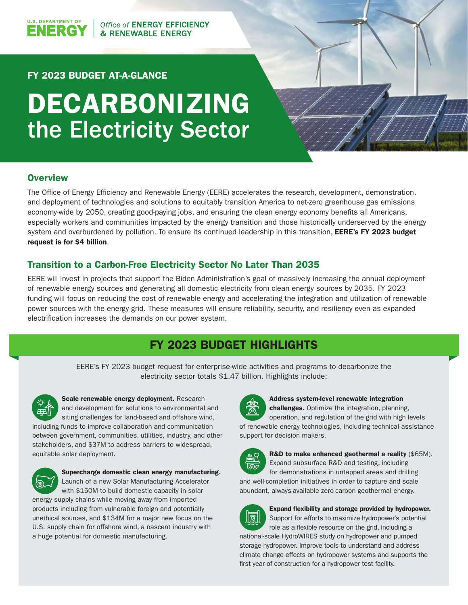## Office of ENERGY EFFICIENCY **& RENEWABLE ENERGY**

# FY 2023 BUDGET AT-A-GLANCE

# DECARBONIZING the Electricity Sector

## **Overview**

**U.S. DEPARTMENT OF** 

VERG

The Office of Energy Efficiency and Renewable Energy (EERE) accelerates the research, development, demonstration, and deployment of technologies and solutions to equitably transition America to net-zero greenhouse gas emissions economy-wide by 2050, creating good-paying jobs, and ensuring the clean energy economy benefits all Americans, especially workers and communities impacted by the energy transition and those historically underserved by the energy system and overburdened by pollution. To ensure its continued leadership in this transition, EERE's FY 2023 budget request is for \$4 billion.

## Transition to a Carbon-Free Electricity Sector No Later Than 2035

EERE will invest in projects that support the Biden Administration's goal of massively increasing the annual deployment of renewable energy sources and generating all domestic electricity from clean energy sources by 2035. FY 2023 funding will focus on reducing the cost of renewable energy and accelerating the integration and utilization of renewable power sources with the energy grid. These measures will ensure reliability, security, and resiliency even as expanded electrification increases the demands on our power system.

# FY 2023 BUDGET HIGHLIGHTS

EERE's FY 2023 budget request for enterprise-wide activities and programs to decarbonize the electricity sector totals \$1.47 billion. Highlights include:



#### Scale renewable energy deployment. Research and development for solutions to environmental and

siting challenges for land-based and offshore wind, including funds to improve collaboration and communication between government, communities, utilities, industry, and other stakeholders, and \$37M to address barriers to widespread, equitable solar deployment.



## Supercharge domestic clean energy manufacturing. Launch of a new Solar Manufacturing Accelerator

with \$150M to build domestic capacity in solar energy supply chains while moving away from imported products including from vulnerable foreign and potentially unethical sources, and \$134M for a major new focus on the U.S. supply chain for offshore wind, a nascent industry with a huge potential for domestic manufacturing.



## Address system-level renewable integration

challenges. Optimize the integration, planning, operation, and regulation of the grid with high levels of renewable energy technologies, including technical assistance support for decision makers.



R&D to make enhanced geothermal a reality (\$65M). Expand subsurface R&D and testing, including for demonstrations in untapped areas and drilling

and well-completion initiatives in order to capture and scale abundant, always-available zero-carbon geothermal energy.



## Expand flexibility and storage provided by hydropower.

Support for efforts to maximize hydropower's potential role as a flexible resource on the grid, including a national-scale HydroWIRES study on hydropower and pumped storage hydropower. Improve tools to understand and address climate change effects on hydropower systems and supports the first year of construction for a hydropower test facility.